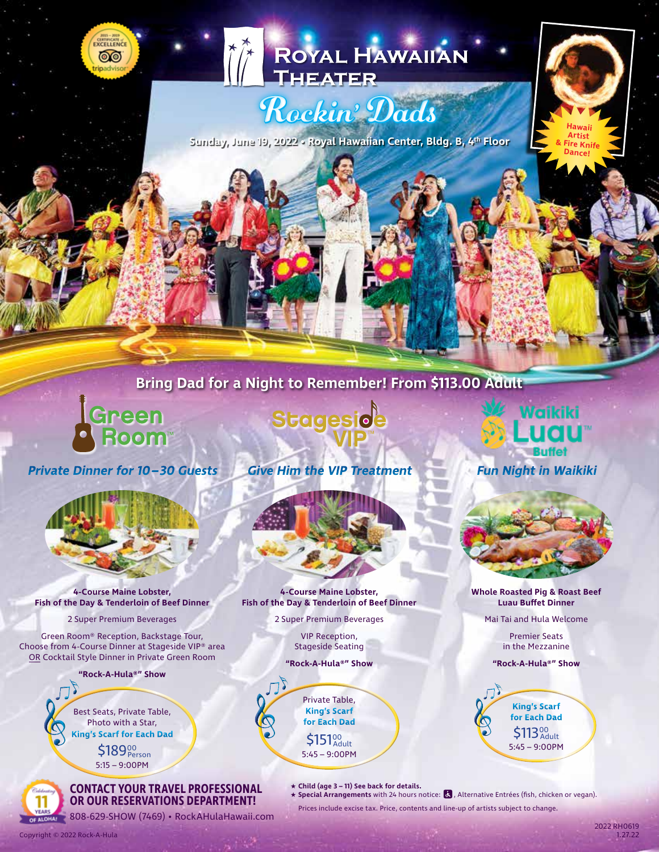# ROYAL HAWAIIAN

# Rockin' Dads

**Sunday, June 19, 2022 • Royal Hawaiian Center, Bldg. B, 4th Floor**

# **Bring Dad for a Night to Remember! From \$113.00 Adult**

**Green**<br>Boom

CURTIFICATE ෧෧

**Private Dinner for 10–30 Guests Give Him the VIP Treatment Fun Night in Waikiki** 



**4-Course Maine Lobster, Fish of the Day & Tenderloin of Beef Dinner**

2 Super Premium Beverages

Green Room® Reception, Backstage Tour, Choose from 4-Course Dinner at Stageside VIP® area OR Cocktail Style Dinner in Private Green Room

**"Rock-A-Hula®" Show**

Best Seats, Private Table, Photo with a Star, **King's Scarf for Each Dad**

Copyright © 2022 Rock-A-Hula

5:15 – 9:00PM \$189<sup>00</sup><br>Person

#### **CONTACT YOUR TRAVEL PROFESSIONAL OR OUR RESERVATIONS DEPARTMENT!**

OF ALOHA! 808-629-SHOW (7469) • RockAHulaHawaii.com

Stageside

**4-Course Maine Lobster, Fish of the Day & Tenderloin of Beef Dinner**

2 Super Premium Beverages

VIP Reception, Stageside Seating

**"Rock-A-Hula®" Show**

 $5:45 - 9:00$ PM \$151<sup>00</sup> Private Table, **King's Scarf for Each Dad**

★ **Child (age 3 – 11) See back for details.**

★ Special Arrangements with 24 hours notice: **は**, Alternative Entrées (fish, chicken or vegan). Prices include excise tax. Price, contents and line-up of artists subject to change.

Vaikiki

uau

**Hawaii Artist & Fire Knife Dance!**

**Whole Roasted Pig & Roast Beef Luau Buffet Dinner**

Mai Tai and Hula Welcome

Premier Seats in the Mezzanine

**"Rock-A-Hula®" Show**

 $5:45 - 9:00$ PM \$113<sup>00</sup><sub>Adult</sub> **King's Scarf for Each Dad**